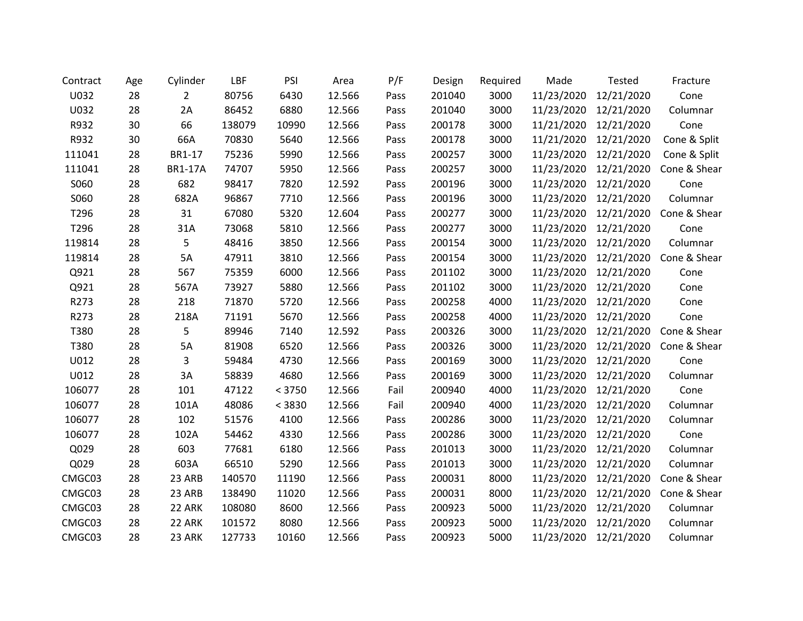| Contract | Age | Cylinder       | LBF    | PSI    | Area   | P/F  | Design | Required | Made                  | Tested     | Fracture     |
|----------|-----|----------------|--------|--------|--------|------|--------|----------|-----------------------|------------|--------------|
| U032     | 28  | $\overline{2}$ | 80756  | 6430   | 12.566 | Pass | 201040 | 3000     | 11/23/2020            | 12/21/2020 | Cone         |
| U032     | 28  | 2A             | 86452  | 6880   | 12.566 | Pass | 201040 | 3000     | 11/23/2020            | 12/21/2020 | Columnar     |
| R932     | 30  | 66             | 138079 | 10990  | 12.566 | Pass | 200178 | 3000     | 11/21/2020            | 12/21/2020 | Cone         |
| R932     | 30  | 66A            | 70830  | 5640   | 12.566 | Pass | 200178 | 3000     | 11/21/2020            | 12/21/2020 | Cone & Split |
| 111041   | 28  | BR1-17         | 75236  | 5990   | 12.566 | Pass | 200257 | 3000     | 11/23/2020            | 12/21/2020 | Cone & Split |
| 111041   | 28  | <b>BR1-17A</b> | 74707  | 5950   | 12.566 | Pass | 200257 | 3000     | 11/23/2020            | 12/21/2020 | Cone & Shear |
| S060     | 28  | 682            | 98417  | 7820   | 12.592 | Pass | 200196 | 3000     | 11/23/2020            | 12/21/2020 | Cone         |
| S060     | 28  | 682A           | 96867  | 7710   | 12.566 | Pass | 200196 | 3000     | 11/23/2020            | 12/21/2020 | Columnar     |
| T296     | 28  | 31             | 67080  | 5320   | 12.604 | Pass | 200277 | 3000     | 11/23/2020            | 12/21/2020 | Cone & Shear |
| T296     | 28  | 31A            | 73068  | 5810   | 12.566 | Pass | 200277 | 3000     | 11/23/2020            | 12/21/2020 | Cone         |
| 119814   | 28  | 5              | 48416  | 3850   | 12.566 | Pass | 200154 | 3000     | 11/23/2020            | 12/21/2020 | Columnar     |
| 119814   | 28  | 5A             | 47911  | 3810   | 12.566 | Pass | 200154 | 3000     | 11/23/2020            | 12/21/2020 | Cone & Shear |
| Q921     | 28  | 567            | 75359  | 6000   | 12.566 | Pass | 201102 | 3000     | 11/23/2020            | 12/21/2020 | Cone         |
| Q921     | 28  | 567A           | 73927  | 5880   | 12.566 | Pass | 201102 | 3000     | 11/23/2020 12/21/2020 |            | Cone         |
| R273     | 28  | 218            | 71870  | 5720   | 12.566 | Pass | 200258 | 4000     | 11/23/2020            | 12/21/2020 | Cone         |
| R273     | 28  | 218A           | 71191  | 5670   | 12.566 | Pass | 200258 | 4000     | 11/23/2020            | 12/21/2020 | Cone         |
| T380     | 28  | 5              | 89946  | 7140   | 12.592 | Pass | 200326 | 3000     | 11/23/2020            | 12/21/2020 | Cone & Shear |
| T380     | 28  | 5A             | 81908  | 6520   | 12.566 | Pass | 200326 | 3000     | 11/23/2020            | 12/21/2020 | Cone & Shear |
| U012     | 28  | 3              | 59484  | 4730   | 12.566 | Pass | 200169 | 3000     | 11/23/2020            | 12/21/2020 | Cone         |
| U012     | 28  | 3A             | 58839  | 4680   | 12.566 | Pass | 200169 | 3000     | 11/23/2020 12/21/2020 |            | Columnar     |
| 106077   | 28  | 101            | 47122  | < 3750 | 12.566 | Fail | 200940 | 4000     | 11/23/2020            | 12/21/2020 | Cone         |
| 106077   | 28  | 101A           | 48086  | < 3830 | 12.566 | Fail | 200940 | 4000     | 11/23/2020            | 12/21/2020 | Columnar     |
| 106077   | 28  | 102            | 51576  | 4100   | 12.566 | Pass | 200286 | 3000     | 11/23/2020 12/21/2020 |            | Columnar     |
| 106077   | 28  | 102A           | 54462  | 4330   | 12.566 | Pass | 200286 | 3000     | 11/23/2020            | 12/21/2020 | Cone         |
| Q029     | 28  | 603            | 77681  | 6180   | 12.566 | Pass | 201013 | 3000     | 11/23/2020            | 12/21/2020 | Columnar     |
| Q029     | 28  | 603A           | 66510  | 5290   | 12.566 | Pass | 201013 | 3000     | 11/23/2020            | 12/21/2020 | Columnar     |
| CMGC03   | 28  | 23 ARB         | 140570 | 11190  | 12.566 | Pass | 200031 | 8000     | 11/23/2020            | 12/21/2020 | Cone & Shear |
| CMGC03   | 28  | 23 ARB         | 138490 | 11020  | 12.566 | Pass | 200031 | 8000     | 11/23/2020            | 12/21/2020 | Cone & Shear |
| CMGC03   | 28  | 22 ARK         | 108080 | 8600   | 12.566 | Pass | 200923 | 5000     | 11/23/2020            | 12/21/2020 | Columnar     |
| CMGC03   | 28  | 22 ARK         | 101572 | 8080   | 12.566 | Pass | 200923 | 5000     | 11/23/2020            | 12/21/2020 | Columnar     |
| CMGC03   | 28  | 23 ARK         | 127733 | 10160  | 12.566 | Pass | 200923 | 5000     | 11/23/2020            | 12/21/2020 | Columnar     |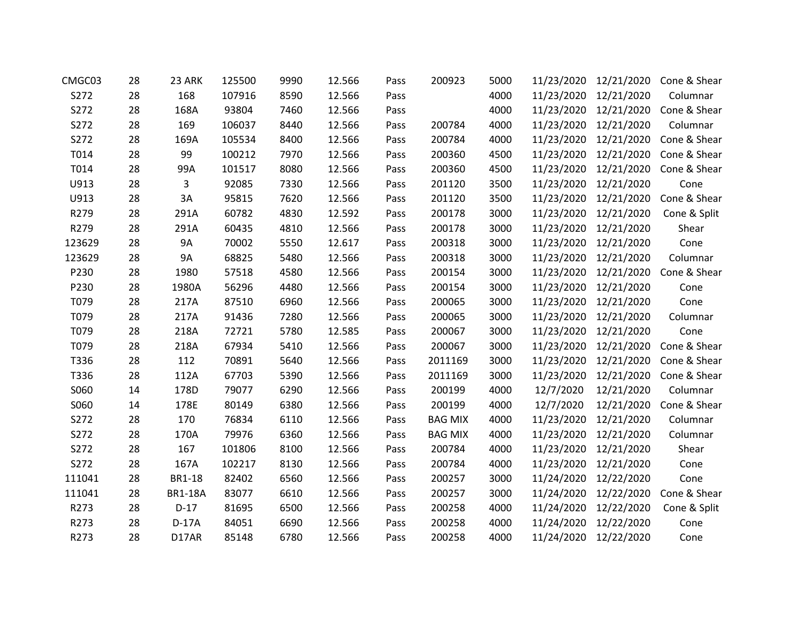| CMGC03 | 28 | 23 ARK         | 125500 | 9990 | 12.566 | Pass | 200923         | 5000 | 11/23/2020 | 12/21/2020            | Cone & Shear |
|--------|----|----------------|--------|------|--------|------|----------------|------|------------|-----------------------|--------------|
| S272   | 28 | 168            | 107916 | 8590 | 12.566 | Pass |                | 4000 | 11/23/2020 | 12/21/2020            | Columnar     |
| S272   | 28 | 168A           | 93804  | 7460 | 12.566 | Pass |                | 4000 |            | 11/23/2020 12/21/2020 | Cone & Shear |
| S272   | 28 | 169            | 106037 | 8440 | 12.566 | Pass | 200784         | 4000 | 11/23/2020 | 12/21/2020            | Columnar     |
| S272   | 28 | 169A           | 105534 | 8400 | 12.566 | Pass | 200784         | 4000 | 11/23/2020 | 12/21/2020            | Cone & Shear |
| T014   | 28 | 99             | 100212 | 7970 | 12.566 | Pass | 200360         | 4500 |            | 11/23/2020 12/21/2020 | Cone & Shear |
| T014   | 28 | 99A            | 101517 | 8080 | 12.566 | Pass | 200360         | 4500 | 11/23/2020 | 12/21/2020            | Cone & Shear |
| U913   | 28 | 3              | 92085  | 7330 | 12.566 | Pass | 201120         | 3500 | 11/23/2020 | 12/21/2020            | Cone         |
| U913   | 28 | 3A             | 95815  | 7620 | 12.566 | Pass | 201120         | 3500 |            | 11/23/2020 12/21/2020 | Cone & Shear |
| R279   | 28 | 291A           | 60782  | 4830 | 12.592 | Pass | 200178         | 3000 | 11/23/2020 | 12/21/2020            | Cone & Split |
| R279   | 28 | 291A           | 60435  | 4810 | 12.566 | Pass | 200178         | 3000 | 11/23/2020 | 12/21/2020            | Shear        |
| 123629 | 28 | 9A             | 70002  | 5550 | 12.617 | Pass | 200318         | 3000 |            | 11/23/2020 12/21/2020 | Cone         |
| 123629 | 28 | 9A             | 68825  | 5480 | 12.566 | Pass | 200318         | 3000 | 11/23/2020 | 12/21/2020            | Columnar     |
| P230   | 28 | 1980           | 57518  | 4580 | 12.566 | Pass | 200154         | 3000 |            | 11/23/2020 12/21/2020 | Cone & Shear |
| P230   | 28 | 1980A          | 56296  | 4480 | 12.566 | Pass | 200154         | 3000 |            | 11/23/2020 12/21/2020 | Cone         |
| T079   | 28 | 217A           | 87510  | 6960 | 12.566 | Pass | 200065         | 3000 | 11/23/2020 | 12/21/2020            | Cone         |
| T079   | 28 | 217A           | 91436  | 7280 | 12.566 | Pass | 200065         | 3000 | 11/23/2020 | 12/21/2020            | Columnar     |
| T079   | 28 | 218A           | 72721  | 5780 | 12.585 | Pass | 200067         | 3000 |            | 11/23/2020 12/21/2020 | Cone         |
| T079   | 28 | 218A           | 67934  | 5410 | 12.566 | Pass | 200067         | 3000 | 11/23/2020 | 12/21/2020            | Cone & Shear |
| T336   | 28 | 112            | 70891  | 5640 | 12.566 | Pass | 2011169        | 3000 |            | 11/23/2020 12/21/2020 | Cone & Shear |
| T336   | 28 | 112A           | 67703  | 5390 | 12.566 | Pass | 2011169        | 3000 |            | 11/23/2020 12/21/2020 | Cone & Shear |
| S060   | 14 | 178D           | 79077  | 6290 | 12.566 | Pass | 200199         | 4000 | 12/7/2020  | 12/21/2020            | Columnar     |
| S060   | 14 | 178E           | 80149  | 6380 | 12.566 | Pass | 200199         | 4000 | 12/7/2020  | 12/21/2020            | Cone & Shear |
| S272   | 28 | 170            | 76834  | 6110 | 12.566 | Pass | <b>BAG MIX</b> | 4000 |            | 11/23/2020 12/21/2020 | Columnar     |
| S272   | 28 | 170A           | 79976  | 6360 | 12.566 | Pass | <b>BAG MIX</b> | 4000 | 11/23/2020 | 12/21/2020            | Columnar     |
| S272   | 28 | 167            | 101806 | 8100 | 12.566 | Pass | 200784         | 4000 |            | 11/23/2020 12/21/2020 | Shear        |
| S272   | 28 | 167A           | 102217 | 8130 | 12.566 | Pass | 200784         | 4000 | 11/23/2020 | 12/21/2020            | Cone         |
| 111041 | 28 | BR1-18         | 82402  | 6560 | 12.566 | Pass | 200257         | 3000 | 11/24/2020 | 12/22/2020            | Cone         |
| 111041 | 28 | <b>BR1-18A</b> | 83077  | 6610 | 12.566 | Pass | 200257         | 3000 | 11/24/2020 | 12/22/2020            | Cone & Shear |
| R273   | 28 | $D-17$         | 81695  | 6500 | 12.566 | Pass | 200258         | 4000 | 11/24/2020 | 12/22/2020            | Cone & Split |
| R273   | 28 | $D-17A$        | 84051  | 6690 | 12.566 | Pass | 200258         | 4000 | 11/24/2020 | 12/22/2020            | Cone         |
| R273   | 28 | D17AR          | 85148  | 6780 | 12.566 | Pass | 200258         | 4000 |            | 11/24/2020 12/22/2020 | Cone         |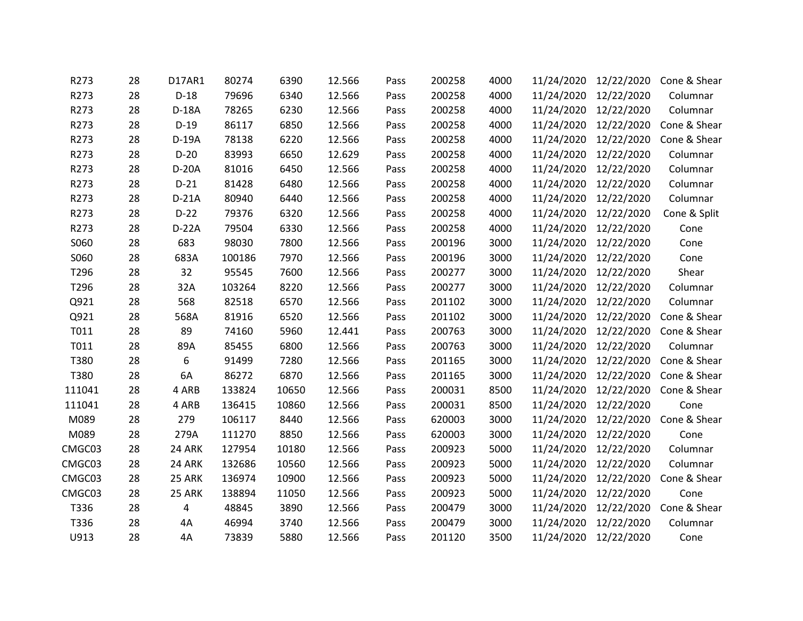| R273   | 28 | D17AR1  | 80274  | 6390  | 12.566 | Pass | 200258 | 4000 |                       | 11/24/2020 12/22/2020 | Cone & Shear |
|--------|----|---------|--------|-------|--------|------|--------|------|-----------------------|-----------------------|--------------|
| R273   | 28 | $D-18$  | 79696  | 6340  | 12.566 | Pass | 200258 | 4000 | 11/24/2020            | 12/22/2020            | Columnar     |
| R273   | 28 | D-18A   | 78265  | 6230  | 12.566 | Pass | 200258 | 4000 |                       | 11/24/2020 12/22/2020 | Columnar     |
| R273   | 28 | $D-19$  | 86117  | 6850  | 12.566 | Pass | 200258 | 4000 |                       | 11/24/2020 12/22/2020 | Cone & Shear |
| R273   | 28 | $D-19A$ | 78138  | 6220  | 12.566 | Pass | 200258 | 4000 | 11/24/2020            | 12/22/2020            | Cone & Shear |
| R273   | 28 | $D-20$  | 83993  | 6650  | 12.629 | Pass | 200258 | 4000 |                       | 11/24/2020 12/22/2020 | Columnar     |
| R273   | 28 | D-20A   | 81016  | 6450  | 12.566 | Pass | 200258 | 4000 | 11/24/2020            | 12/22/2020            | Columnar     |
| R273   | 28 | $D-21$  | 81428  | 6480  | 12.566 | Pass | 200258 | 4000 |                       | 11/24/2020 12/22/2020 | Columnar     |
| R273   | 28 | $D-21A$ | 80940  | 6440  | 12.566 | Pass | 200258 | 4000 |                       | 11/24/2020 12/22/2020 | Columnar     |
| R273   | 28 | $D-22$  | 79376  | 6320  | 12.566 | Pass | 200258 | 4000 | 11/24/2020            | 12/22/2020            | Cone & Split |
| R273   | 28 | $D-22A$ | 79504  | 6330  | 12.566 | Pass | 200258 | 4000 | 11/24/2020            | 12/22/2020            | Cone         |
| S060   | 28 | 683     | 98030  | 7800  | 12.566 | Pass | 200196 | 3000 |                       | 11/24/2020 12/22/2020 | Cone         |
| S060   | 28 | 683A    | 100186 | 7970  | 12.566 | Pass | 200196 | 3000 | 11/24/2020            | 12/22/2020            | Cone         |
| T296   | 28 | 32      | 95545  | 7600  | 12.566 | Pass | 200277 | 3000 |                       | 11/24/2020 12/22/2020 | Shear        |
| T296   | 28 | 32A     | 103264 | 8220  | 12.566 | Pass | 200277 | 3000 |                       | 11/24/2020 12/22/2020 | Columnar     |
| Q921   | 28 | 568     | 82518  | 6570  | 12.566 | Pass | 201102 | 3000 | 11/24/2020            | 12/22/2020            | Columnar     |
| Q921   | 28 | 568A    | 81916  | 6520  | 12.566 | Pass | 201102 | 3000 | 11/24/2020            | 12/22/2020            | Cone & Shear |
| T011   | 28 | 89      | 74160  | 5960  | 12.441 | Pass | 200763 | 3000 |                       | 11/24/2020 12/22/2020 | Cone & Shear |
| T011   | 28 | 89A     | 85455  | 6800  | 12.566 | Pass | 200763 | 3000 | 11/24/2020            | 12/22/2020            | Columnar     |
| T380   | 28 | 6       | 91499  | 7280  | 12.566 | Pass | 201165 | 3000 |                       | 11/24/2020 12/22/2020 | Cone & Shear |
| T380   | 28 | 6A      | 86272  | 6870  | 12.566 | Pass | 201165 | 3000 |                       | 11/24/2020 12/22/2020 | Cone & Shear |
| 111041 | 28 | 4 ARB   | 133824 | 10650 | 12.566 | Pass | 200031 | 8500 | 11/24/2020            | 12/22/2020            | Cone & Shear |
| 111041 | 28 | 4 ARB   | 136415 | 10860 | 12.566 | Pass | 200031 | 8500 | 11/24/2020 12/22/2020 |                       | Cone         |
| M089   | 28 | 279     | 106117 | 8440  | 12.566 | Pass | 620003 | 3000 |                       | 11/24/2020 12/22/2020 | Cone & Shear |
| M089   | 28 | 279A    | 111270 | 8850  | 12.566 | Pass | 620003 | 3000 |                       | 11/24/2020 12/22/2020 | Cone         |
| CMGC03 | 28 | 24 ARK  | 127954 | 10180 | 12.566 | Pass | 200923 | 5000 |                       | 11/24/2020 12/22/2020 | Columnar     |
| CMGC03 | 28 | 24 ARK  | 132686 | 10560 | 12.566 | Pass | 200923 | 5000 | 11/24/2020            | 12/22/2020            | Columnar     |
| CMGC03 | 28 | 25 ARK  | 136974 | 10900 | 12.566 | Pass | 200923 | 5000 | 11/24/2020            | 12/22/2020            | Cone & Shear |
| CMGC03 | 28 | 25 ARK  | 138894 | 11050 | 12.566 | Pass | 200923 | 5000 | 11/24/2020 12/22/2020 |                       | Cone         |
| T336   | 28 | 4       | 48845  | 3890  | 12.566 | Pass | 200479 | 3000 | 11/24/2020            | 12/22/2020            | Cone & Shear |
| T336   | 28 | 4A      | 46994  | 3740  | 12.566 | Pass | 200479 | 3000 | 11/24/2020            | 12/22/2020            | Columnar     |
| U913   | 28 | 4A      | 73839  | 5880  | 12.566 | Pass | 201120 | 3500 | 11/24/2020 12/22/2020 |                       | Cone         |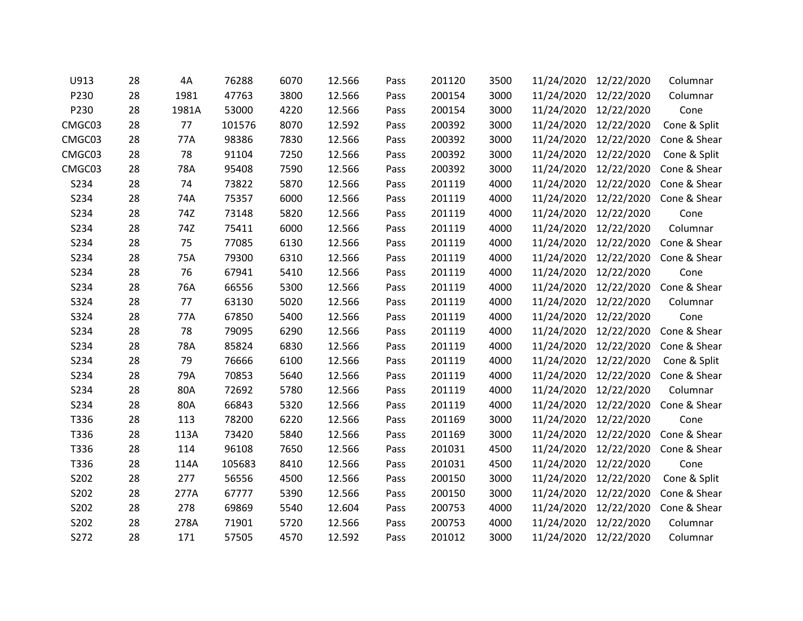| U913   | 28 | 4A    | 76288  | 6070 | 12.566 | Pass | 201120 | 3500 | 11/24/2020 | 12/22/2020            | Columnar     |
|--------|----|-------|--------|------|--------|------|--------|------|------------|-----------------------|--------------|
| P230   | 28 | 1981  | 47763  | 3800 | 12.566 | Pass | 200154 | 3000 | 11/24/2020 | 12/22/2020            | Columnar     |
| P230   | 28 | 1981A | 53000  | 4220 | 12.566 | Pass | 200154 | 3000 |            | 11/24/2020 12/22/2020 | Cone         |
| CMGC03 | 28 | 77    | 101576 | 8070 | 12.592 | Pass | 200392 | 3000 | 11/24/2020 | 12/22/2020            | Cone & Split |
| CMGC03 | 28 | 77A   | 98386  | 7830 | 12.566 | Pass | 200392 | 3000 | 11/24/2020 | 12/22/2020            | Cone & Shear |
| CMGC03 | 28 | 78    | 91104  | 7250 | 12.566 | Pass | 200392 | 3000 | 11/24/2020 | 12/22/2020            | Cone & Split |
| CMGC03 | 28 | 78A   | 95408  | 7590 | 12.566 | Pass | 200392 | 3000 | 11/24/2020 | 12/22/2020            | Cone & Shear |
| S234   | 28 | 74    | 73822  | 5870 | 12.566 | Pass | 201119 | 4000 | 11/24/2020 | 12/22/2020            | Cone & Shear |
| S234   | 28 | 74A   | 75357  | 6000 | 12.566 | Pass | 201119 | 4000 | 11/24/2020 | 12/22/2020            | Cone & Shear |
| S234   | 28 | 74Z   | 73148  | 5820 | 12.566 | Pass | 201119 | 4000 | 11/24/2020 | 12/22/2020            | Cone         |
| S234   | 28 | 74Z   | 75411  | 6000 | 12.566 | Pass | 201119 | 4000 | 11/24/2020 | 12/22/2020            | Columnar     |
| S234   | 28 | 75    | 77085  | 6130 | 12.566 | Pass | 201119 | 4000 | 11/24/2020 | 12/22/2020            | Cone & Shear |
| S234   | 28 | 75A   | 79300  | 6310 | 12.566 | Pass | 201119 | 4000 | 11/24/2020 | 12/22/2020            | Cone & Shear |
| S234   | 28 | 76    | 67941  | 5410 | 12.566 | Pass | 201119 | 4000 | 11/24/2020 | 12/22/2020            | Cone         |
| S234   | 28 | 76A   | 66556  | 5300 | 12.566 | Pass | 201119 | 4000 | 11/24/2020 | 12/22/2020            | Cone & Shear |
| S324   | 28 | 77    | 63130  | 5020 | 12.566 | Pass | 201119 | 4000 | 11/24/2020 | 12/22/2020            | Columnar     |
| S324   | 28 | 77A   | 67850  | 5400 | 12.566 | Pass | 201119 | 4000 | 11/24/2020 | 12/22/2020            | Cone         |
| S234   | 28 | 78    | 79095  | 6290 | 12.566 | Pass | 201119 | 4000 | 11/24/2020 | 12/22/2020            | Cone & Shear |
| S234   | 28 | 78A   | 85824  | 6830 | 12.566 | Pass | 201119 | 4000 | 11/24/2020 | 12/22/2020            | Cone & Shear |
| S234   | 28 | 79    | 76666  | 6100 | 12.566 | Pass | 201119 | 4000 |            | 11/24/2020 12/22/2020 | Cone & Split |
| S234   | 28 | 79A   | 70853  | 5640 | 12.566 | Pass | 201119 | 4000 | 11/24/2020 | 12/22/2020            | Cone & Shear |
| S234   | 28 | 80A   | 72692  | 5780 | 12.566 | Pass | 201119 | 4000 | 11/24/2020 | 12/22/2020            | Columnar     |
| S234   | 28 | 80A   | 66843  | 5320 | 12.566 | Pass | 201119 | 4000 | 11/24/2020 | 12/22/2020            | Cone & Shear |
| T336   | 28 | 113   | 78200  | 6220 | 12.566 | Pass | 201169 | 3000 | 11/24/2020 | 12/22/2020            | Cone         |
| T336   | 28 | 113A  | 73420  | 5840 | 12.566 | Pass | 201169 | 3000 | 11/24/2020 | 12/22/2020            | Cone & Shear |
| T336   | 28 | 114   | 96108  | 7650 | 12.566 | Pass | 201031 | 4500 | 11/24/2020 | 12/22/2020            | Cone & Shear |
| T336   | 28 | 114A  | 105683 | 8410 | 12.566 | Pass | 201031 | 4500 | 11/24/2020 | 12/22/2020            | Cone         |
| S202   | 28 | 277   | 56556  | 4500 | 12.566 | Pass | 200150 | 3000 | 11/24/2020 | 12/22/2020            | Cone & Split |
| S202   | 28 | 277A  | 67777  | 5390 | 12.566 | Pass | 200150 | 3000 | 11/24/2020 | 12/22/2020            | Cone & Shear |
| S202   | 28 | 278   | 69869  | 5540 | 12.604 | Pass | 200753 | 4000 | 11/24/2020 | 12/22/2020            | Cone & Shear |
| S202   | 28 | 278A  | 71901  | 5720 | 12.566 | Pass | 200753 | 4000 | 11/24/2020 | 12/22/2020            | Columnar     |
| S272   | 28 | 171   | 57505  | 4570 | 12.592 | Pass | 201012 | 3000 | 11/24/2020 | 12/22/2020            | Columnar     |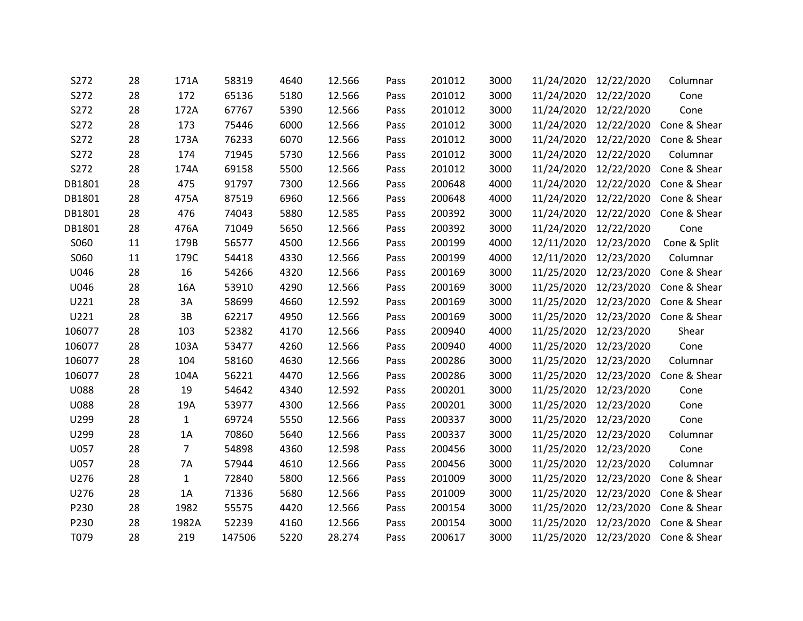| S272        | 28 | 171A           | 58319  | 4640 | 12.566 | Pass | 201012 | 3000 | 11/24/2020            | 12/22/2020            | Columnar                           |
|-------------|----|----------------|--------|------|--------|------|--------|------|-----------------------|-----------------------|------------------------------------|
| S272        | 28 | 172            | 65136  | 5180 | 12.566 | Pass | 201012 | 3000 | 11/24/2020            | 12/22/2020            | Cone                               |
| S272        | 28 | 172A           | 67767  | 5390 | 12.566 | Pass | 201012 | 3000 | 11/24/2020 12/22/2020 |                       | Cone                               |
| S272        | 28 | 173            | 75446  | 6000 | 12.566 | Pass | 201012 | 3000 | 11/24/2020            | 12/22/2020            | Cone & Shear                       |
| S272        | 28 | 173A           | 76233  | 6070 | 12.566 | Pass | 201012 | 3000 | 11/24/2020            | 12/22/2020            | Cone & Shear                       |
| S272        | 28 | 174            | 71945  | 5730 | 12.566 | Pass | 201012 | 3000 | 11/24/2020            | 12/22/2020            | Columnar                           |
| S272        | 28 | 174A           | 69158  | 5500 | 12.566 | Pass | 201012 | 3000 | 11/24/2020            | 12/22/2020            | Cone & Shear                       |
| DB1801      | 28 | 475            | 91797  | 7300 | 12.566 | Pass | 200648 | 4000 | 11/24/2020            | 12/22/2020            | Cone & Shear                       |
| DB1801      | 28 | 475A           | 87519  | 6960 | 12.566 | Pass | 200648 | 4000 |                       | 11/24/2020 12/22/2020 | Cone & Shear                       |
| DB1801      | 28 | 476            | 74043  | 5880 | 12.585 | Pass | 200392 | 3000 | 11/24/2020            | 12/22/2020            | Cone & Shear                       |
| DB1801      | 28 | 476A           | 71049  | 5650 | 12.566 | Pass | 200392 | 3000 | 11/24/2020            | 12/22/2020            | Cone                               |
| S060        | 11 | 179B           | 56577  | 4500 | 12.566 | Pass | 200199 | 4000 | 12/11/2020            | 12/23/2020            | Cone & Split                       |
| S060        | 11 | 179C           | 54418  | 4330 | 12.566 | Pass | 200199 | 4000 | 12/11/2020            | 12/23/2020            | Columnar                           |
| U046        | 28 | 16             | 54266  | 4320 | 12.566 | Pass | 200169 | 3000 |                       | 11/25/2020 12/23/2020 | Cone & Shear                       |
| U046        | 28 | 16A            | 53910  | 4290 | 12.566 | Pass | 200169 | 3000 |                       | 11/25/2020 12/23/2020 | Cone & Shear                       |
| U221        | 28 | 3A             | 58699  | 4660 | 12.592 | Pass | 200169 | 3000 | 11/25/2020            | 12/23/2020            | Cone & Shear                       |
| U221        | 28 | 3B             | 62217  | 4950 | 12.566 | Pass | 200169 | 3000 | 11/25/2020            | 12/23/2020            | Cone & Shear                       |
| 106077      | 28 | 103            | 52382  | 4170 | 12.566 | Pass | 200940 | 4000 | 11/25/2020 12/23/2020 |                       | Shear                              |
| 106077      | 28 | 103A           | 53477  | 4260 | 12.566 | Pass | 200940 | 4000 | 11/25/2020            | 12/23/2020            | Cone                               |
| 106077      | 28 | 104            | 58160  | 4630 | 12.566 | Pass | 200286 | 3000 | 11/25/2020 12/23/2020 |                       | Columnar                           |
| 106077      | 28 | 104A           | 56221  | 4470 | 12.566 | Pass | 200286 | 3000 | 11/25/2020            | 12/23/2020            | Cone & Shear                       |
| <b>U088</b> | 28 | 19             | 54642  | 4340 | 12.592 | Pass | 200201 | 3000 | 11/25/2020            | 12/23/2020            | Cone                               |
| <b>U088</b> | 28 | 19A            | 53977  | 4300 | 12.566 | Pass | 200201 | 3000 | 11/25/2020            | 12/23/2020            | Cone                               |
| U299        | 28 | $\mathbf{1}$   | 69724  | 5550 | 12.566 | Pass | 200337 | 3000 | 11/25/2020 12/23/2020 |                       | Cone                               |
| U299        | 28 | 1A             | 70860  | 5640 | 12.566 | Pass | 200337 | 3000 | 11/25/2020            | 12/23/2020            | Columnar                           |
| U057        | 28 | $\overline{7}$ | 54898  | 4360 | 12.598 | Pass | 200456 | 3000 | 11/25/2020 12/23/2020 |                       | Cone                               |
| U057        | 28 | 7A             | 57944  | 4610 | 12.566 | Pass | 200456 | 3000 | 11/25/2020            | 12/23/2020            | Columnar                           |
| U276        | 28 | $\mathbf{1}$   | 72840  | 5800 | 12.566 | Pass | 201009 | 3000 | 11/25/2020            | 12/23/2020            | Cone & Shear                       |
| U276        | 28 | 1A             | 71336  | 5680 | 12.566 | Pass | 201009 | 3000 | 11/25/2020            | 12/23/2020            | Cone & Shear                       |
| P230        | 28 | 1982           | 55575  | 4420 | 12.566 | Pass | 200154 | 3000 | 11/25/2020            | 12/23/2020            | Cone & Shear                       |
| P230        | 28 | 1982A          | 52239  | 4160 | 12.566 | Pass | 200154 | 3000 | 11/25/2020            | 12/23/2020            | Cone & Shear                       |
| T079        | 28 | 219            | 147506 | 5220 | 28.274 | Pass | 200617 | 3000 |                       |                       | 11/25/2020 12/23/2020 Cone & Shear |